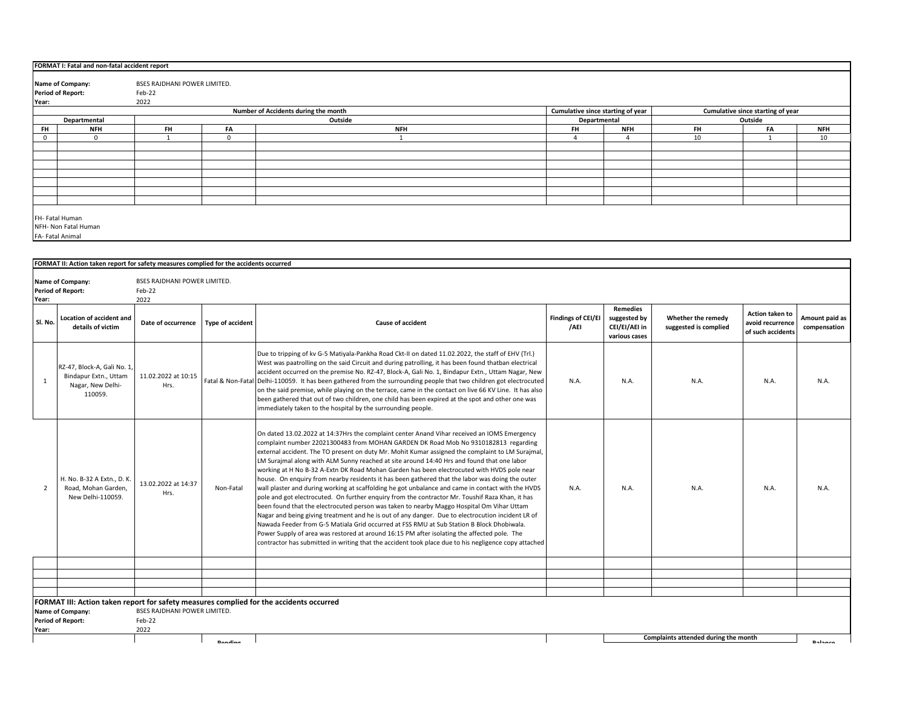|                                                             | FORMAT I: Fatal and non-fatal accident report                                                                  |           |            |            |           |                |    |           |            |  |  |  |
|-------------------------------------------------------------|----------------------------------------------------------------------------------------------------------------|-----------|------------|------------|-----------|----------------|----|-----------|------------|--|--|--|
|                                                             | BSES RAJDHANI POWER LIMITED.<br>Name of Company:                                                               |           |            |            |           |                |    |           |            |  |  |  |
| <b>Period of Report:</b><br>Feb-22                          |                                                                                                                |           |            |            |           |                |    |           |            |  |  |  |
| Year:                                                       | 2022                                                                                                           |           |            |            |           |                |    |           |            |  |  |  |
|                                                             | Cumulative since starting of year<br>Number of Accidents during the month<br>Cumulative since starting of year |           |            |            |           |                |    |           |            |  |  |  |
|                                                             | Outside<br>Outside<br>Departmental<br>Departmental                                                             |           |            |            |           |                |    |           |            |  |  |  |
| <b>FH</b>                                                   | <b>NFH</b>                                                                                                     | <b>FH</b> | FA         | <b>NFH</b> | <b>FH</b> | <b>NFH</b>     | FH | <b>FA</b> | <b>NFH</b> |  |  |  |
|                                                             |                                                                                                                |           | $^{\circ}$ |            |           | $\overline{a}$ | 10 |           | 10         |  |  |  |
|                                                             |                                                                                                                |           |            |            |           |                |    |           |            |  |  |  |
|                                                             |                                                                                                                |           |            |            |           |                |    |           |            |  |  |  |
|                                                             |                                                                                                                |           |            |            |           |                |    |           |            |  |  |  |
|                                                             |                                                                                                                |           |            |            |           |                |    |           |            |  |  |  |
|                                                             |                                                                                                                |           |            |            |           |                |    |           |            |  |  |  |
|                                                             |                                                                                                                |           |            |            |           |                |    |           |            |  |  |  |
|                                                             |                                                                                                                |           |            |            |           |                |    |           |            |  |  |  |
| FH- Fatal Human<br>NFH- Non Fatal Human<br>FA- Fatal Animal |                                                                                                                |           |            |            |           |                |    |           |            |  |  |  |
|                                                             |                                                                                                                |           |            |            |           |                |    |           |            |  |  |  |

|                | FORMAT II: Action taken report for safety measures complied for the accidents occurred |                                                       |                         |                                                                                                                                                                                                                                                                                                                                                                                                                                                                                                                                                                                                                                                                                                                                                                                                                                                                                                                                                                                                                                                                                                                                                                                                                                                                                                    |                            |                                                            |                                             |                                                                 |                                |  |
|----------------|----------------------------------------------------------------------------------------|-------------------------------------------------------|-------------------------|----------------------------------------------------------------------------------------------------------------------------------------------------------------------------------------------------------------------------------------------------------------------------------------------------------------------------------------------------------------------------------------------------------------------------------------------------------------------------------------------------------------------------------------------------------------------------------------------------------------------------------------------------------------------------------------------------------------------------------------------------------------------------------------------------------------------------------------------------------------------------------------------------------------------------------------------------------------------------------------------------------------------------------------------------------------------------------------------------------------------------------------------------------------------------------------------------------------------------------------------------------------------------------------------------|----------------------------|------------------------------------------------------------|---------------------------------------------|-----------------------------------------------------------------|--------------------------------|--|
| Year:          | Name of Company:<br><b>Period of Report:</b>                                           | <b>BSES RAJDHANI POWER LIMITED.</b><br>Feb-22<br>2022 |                         |                                                                                                                                                                                                                                                                                                                                                                                                                                                                                                                                                                                                                                                                                                                                                                                                                                                                                                                                                                                                                                                                                                                                                                                                                                                                                                    |                            |                                                            |                                             |                                                                 |                                |  |
| Sl. No.        | <b>Location of accident and</b><br>details of victim                                   | Date of occurrence                                    | <b>Type of accident</b> | <b>Cause of accident</b>                                                                                                                                                                                                                                                                                                                                                                                                                                                                                                                                                                                                                                                                                                                                                                                                                                                                                                                                                                                                                                                                                                                                                                                                                                                                           | Findings of CEI/EI<br>/AEI | Remedies<br>suggested by<br>CEI/EI/AEI in<br>various cases | Whether the remedy<br>suggested is complied | <b>Action taken to</b><br>avoid recurrence<br>of such accidents | Amount paid as<br>compensation |  |
| $\overline{1}$ | RZ-47, Block-A, Gali No. 1,<br>Bindapur Extn., Uttam<br>Nagar, New Delhi-<br>110059.   | 11.02.2022 at 10:15<br>Hrs.                           |                         | Due to tripping of kv G-5 Matiyala-Pankha Road Ckt-II on dated 11.02.2022, the staff of EHV (Trl.)<br>West was paatrolling on the said Circuit and during patrolling, it has been found thatban electrical<br>accident occurred on the premise No. RZ-47, Block-A, Gali No. 1, Bindapur Extn., Uttam Nagar, New<br>Fatal & Non-Fatal Delhi-110059. It has been gathered from the surrounding people that two children got electrocuted<br>on the said premise, while playing on the terrace, came in the contact on live 66 KV Line. It has also<br>been gathered that out of two children, one child has been expired at the spot and other one was<br>immediately taken to the hospital by the surrounding people.                                                                                                                                                                                                                                                                                                                                                                                                                                                                                                                                                                               | N.A.                       | N.A.                                                       | N.A.                                        | N.A.                                                            | N.A.                           |  |
| 2              | H. No. B-32 A Extn., D. K<br>Road, Mohan Garden,<br>New Delhi-110059.                  | 13.02.2022 at 14:37<br>Hrs.                           | Non-Fatal               | On dated 13.02.2022 at 14:37Hrs the complaint center Anand Vihar received an IOMS Emergency<br>complaint number 22021300483 from MOHAN GARDEN DK Road Mob No 9310182813 regarding<br>external accident. The TO present on duty Mr. Mohit Kumar assigned the complaint to LM Surajmal,<br>LM Suraimal along with ALM Sunny reached at site around 14:40 Hrs and found that one labor<br>working at H No B-32 A-Extn DK Road Mohan Garden has been electrocuted with HVDS pole near<br>house. On enguiry from nearby residents it has been gathered that the labor was doing the outer<br>wall plaster and during working at scaffolding he got unbalance and came in contact with the HVDS<br>pole and got electrocuted. On further enguiry from the contractor Mr. Toushif Raza Khan, it has<br>been found that the electrocuted person was taken to nearby Maggo Hospital Om Vihar Uttam<br>Nagar and being giving treatment and he is out of any danger. Due to electrocution incident LR of<br>Nawada Feeder from G-5 Matiala Grid occurred at FSS RMU at Sub Station B Block Dhobiwala.<br>Power Supply of area was restored at around 16:15 PM after isolating the affected pole. The<br>contractor has submitted in writing that the accident took place due to his negligence copy attached | N.A.                       | N.A.                                                       | N.A.                                        | N.A.                                                            | N.A.                           |  |
|                |                                                                                        |                                                       |                         |                                                                                                                                                                                                                                                                                                                                                                                                                                                                                                                                                                                                                                                                                                                                                                                                                                                                                                                                                                                                                                                                                                                                                                                                                                                                                                    |                            |                                                            |                                             |                                                                 |                                |  |
|                |                                                                                        |                                                       |                         |                                                                                                                                                                                                                                                                                                                                                                                                                                                                                                                                                                                                                                                                                                                                                                                                                                                                                                                                                                                                                                                                                                                                                                                                                                                                                                    |                            |                                                            |                                             |                                                                 |                                |  |
|                |                                                                                        |                                                       |                         |                                                                                                                                                                                                                                                                                                                                                                                                                                                                                                                                                                                                                                                                                                                                                                                                                                                                                                                                                                                                                                                                                                                                                                                                                                                                                                    |                            |                                                            |                                             |                                                                 |                                |  |
| Year:          | Name of Company:<br><b>Period of Report:</b>                                           | <b>BSES RAJDHANI POWER LIMITED.</b><br>Feb-22<br>2022 |                         | FORMAT III: Action taken report for safety measures complied for the accidents occurred                                                                                                                                                                                                                                                                                                                                                                                                                                                                                                                                                                                                                                                                                                                                                                                                                                                                                                                                                                                                                                                                                                                                                                                                            |                            |                                                            |                                             |                                                                 |                                |  |
|                |                                                                                        |                                                       | <b>Danalina</b>         |                                                                                                                                                                                                                                                                                                                                                                                                                                                                                                                                                                                                                                                                                                                                                                                                                                                                                                                                                                                                                                                                                                                                                                                                                                                                                                    |                            |                                                            | Complaints attended during the month        |                                                                 | <b>Dalance</b>                 |  |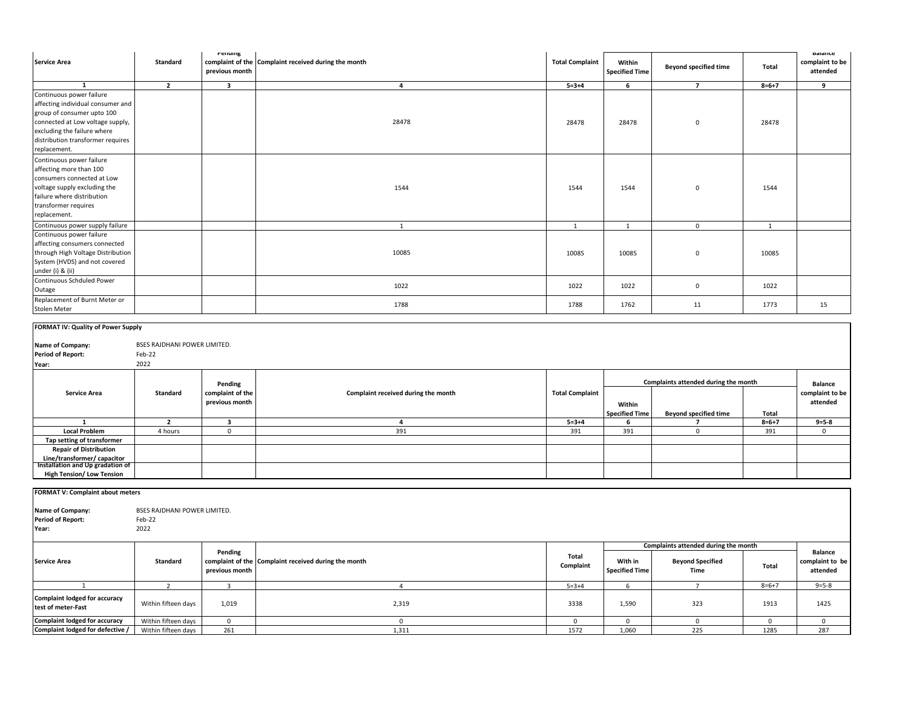| <b>Service Area</b>                                                                                                                                                                                                 | Standard                                       | renaing<br>complaint of the<br>previous month | Complaint received during the month | <b>Total Complaint</b> | Within<br><b>Specified Time</b> | <b>Beyond specified time</b>                                         | Total          | <b>Balance</b><br>complaint to be<br>attended |
|---------------------------------------------------------------------------------------------------------------------------------------------------------------------------------------------------------------------|------------------------------------------------|-----------------------------------------------|-------------------------------------|------------------------|---------------------------------|----------------------------------------------------------------------|----------------|-----------------------------------------------|
| 1                                                                                                                                                                                                                   | $\overline{2}$                                 | $\overline{\mathbf{3}}$                       | $\overline{4}$                      | $5 = 3 + 4$            | 6                               | $\overline{7}$                                                       | $8 = 6 + 7$    | 9                                             |
| Continuous power failure<br>affecting individual consumer and<br>group of consumer upto 100<br>connected at Low voltage supply,<br>excluding the failure where<br>distribution transformer requires<br>replacement. |                                                |                                               | 28478                               | 28478                  | 28478                           | 0                                                                    | 28478          |                                               |
| Continuous power failure<br>affecting more than 100<br>consumers connected at Low<br>voltage supply excluding the<br>failure where distribution<br>transformer requires<br>replacement.                             |                                                |                                               | 1544                                | 1544                   | 1544                            | 0                                                                    | 1544           |                                               |
| Continuous power supply failure                                                                                                                                                                                     |                                                |                                               | 1                                   | 1                      | $\overline{1}$                  | $\mathbf{0}$                                                         | $\overline{1}$ |                                               |
| Continuous power failure<br>affecting consumers connected<br>through High Voltage Distribution<br>System (HVDS) and not covered<br>under (i) & (ii)                                                                 |                                                |                                               | 10085                               | 10085                  | 10085                           | 0                                                                    | 10085          |                                               |
| Continuous Schduled Power<br>Outage                                                                                                                                                                                 |                                                |                                               | 1022                                | 1022                   | 1022                            | 0                                                                    | 1022           |                                               |
| Replacement of Burnt Meter or<br>Stolen Meter                                                                                                                                                                       |                                                |                                               | 1788                                | 1788                   | 1762                            | 11                                                                   | 1773           | 15                                            |
| FORMAT IV: Quality of Power Supply<br>Name of Company:<br><b>Period of Report:</b><br>Year:                                                                                                                         | BSES RAJDHANI POWER LIMITED.<br>Feb-22<br>2022 |                                               |                                     |                        |                                 |                                                                      |                |                                               |
| <b>Service Area</b>                                                                                                                                                                                                 | <b>Standard</b>                                | Pending<br>complaint of the<br>previous month | Complaint received during the month | <b>Total Complaint</b> | Within<br><b>Specified Time</b> | Complaints attended during the month<br><b>Beyond specified time</b> | Total          | <b>Balance</b><br>complaint to be<br>attended |
| <sup>1</sup>                                                                                                                                                                                                        | $\overline{2}$                                 | $\overline{\mathbf{3}}$                       | $\overline{a}$                      | $5 = 3 + 4$            | - 6                             | $\overline{7}$                                                       | $8 = 6 + 7$    | $9 = 5 - 8$                                   |
| <b>Local Problem</b>                                                                                                                                                                                                | 4 hours                                        | $\mathbf{0}$                                  | 391                                 | 391                    | 391                             | $\mathbf{0}$                                                         | 391            | $\mathbf{0}$                                  |
| Tap setting of transformer<br><b>Repair of Distribution</b><br>Line/transformer/ capacitor<br><b>Installation and Up gradation of</b>                                                                               |                                                |                                               |                                     |                        |                                 |                                                                      |                |                                               |
| <b>High Tension/ Low Tension</b>                                                                                                                                                                                    |                                                |                                               |                                     |                        |                                 |                                                                      |                |                                               |

Feb-22 2022 **With in Specified Time Beyond Specified Time Total** 2 3 4 5=3+4 6 7 8=6+7 9=5-8 Within fifteen days 1,019 2,319 3338 1,590 323 1913 1425 Within fifteen days 0 0 0 0 0 0 0 Within fifteen days 261 1,311 1572 1,060 225 1285 287 1 **Complaint lodged for accuracy test of meter-Fast Complaint lodged for accuracy Complaint lodged for defective / Balance complaint to be attended Complaint received during the month Total complaint of the Complaint Complaints attended during the month Period of Report: Year: Standard Pending previous month Service Area FORMAT V: Complaint about meters Name of Company:** BSES RAJDHANI POWER LIMITED.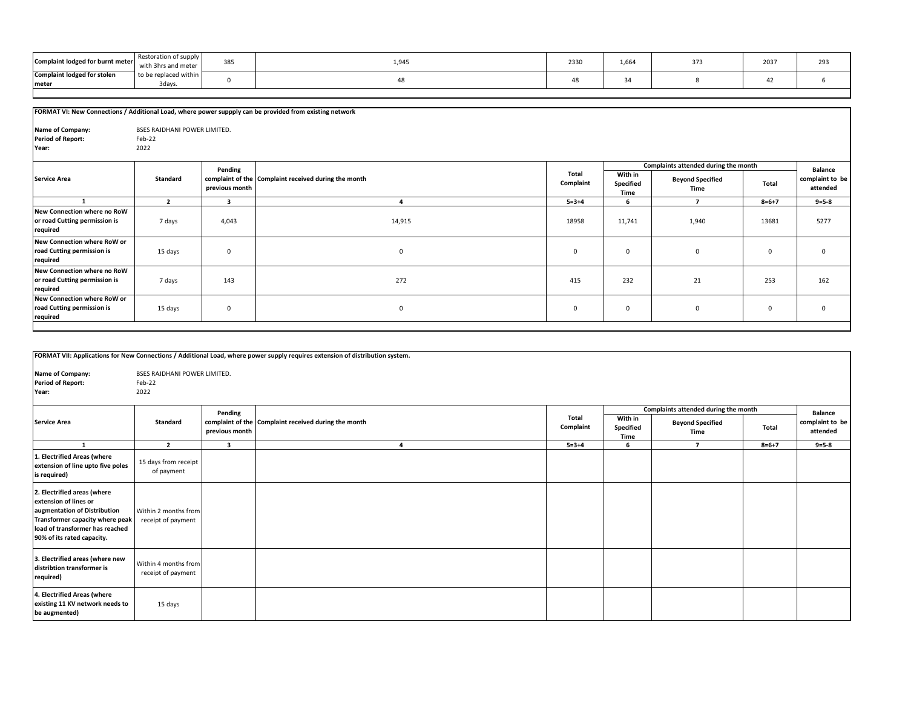| Complaint lodged for burnt meter   | Restoration of supply<br>with 3hrs and meter | 385 | 1,945 | 2330 | 1,664 | 2037 | 293 |
|------------------------------------|----------------------------------------------|-----|-------|------|-------|------|-----|
| <b>Complaint lodged for stolen</b> | to be replaced within I                      |     |       |      |       |      |     |
| <b>Imeter</b>                      | 3days                                        |     |       |      |       |      |     |
|                                    |                                              |     |       |      |       |      |     |

|                                                                          |                                                |                           | FORMAT VI: New Connections / Additional Load, where power suppply can be provided from existing network |                    |                              |                                                                         |             |                                               |
|--------------------------------------------------------------------------|------------------------------------------------|---------------------------|---------------------------------------------------------------------------------------------------------|--------------------|------------------------------|-------------------------------------------------------------------------|-------------|-----------------------------------------------|
| Name of Company:<br><b>Period of Report:</b><br>Year:                    | BSES RAJDHANI POWER LIMITED.<br>Feb-22<br>2022 |                           |                                                                                                         |                    |                              |                                                                         |             |                                               |
| <b>Service Area</b>                                                      | Standard                                       | Pending<br>previous month | complaint of the Complaint received during the month                                                    | Total<br>Complaint | With in<br>Specified<br>Time | Complaints attended during the month<br><b>Beyond Specified</b><br>Time | Total       | <b>Balance</b><br>complaint to be<br>attended |
| -1                                                                       | $\overline{2}$                                 | 3                         | $\Delta$                                                                                                | $5 = 3 + 4$        | 6                            | $\overline{ }$                                                          | $8 = 6 + 7$ | $9 = 5 - 8$                                   |
| New Connection where no RoW<br>or road Cutting permission is<br>required | 7 days                                         | 4,043                     | 14,915                                                                                                  | 18958              | 11,741                       | 1,940                                                                   | 13681       | 5277                                          |
| New Connection where RoW or<br>road Cutting permission is<br>required    | 15 days                                        | 0                         | $\mathbf 0$                                                                                             | $\mathbf{0}$       | $\mathbf 0$                  | $\mathbf{0}$                                                            | $\mathbf 0$ | $\Omega$                                      |
| New Connection where no RoW<br>or road Cutting permission is<br>required | 7 days                                         | 143                       | 272                                                                                                     | 415                | 232                          | 21                                                                      | 253         | 162                                           |
| New Connection where RoW or<br>road Cutting permission is<br>required    | 15 days                                        | 0                         | $\mathbf 0$                                                                                             | $\mathbf{0}$       | $\mathsf 0$                  | $\mathbf 0$                                                             | 0           | $\Omega$                                      |

|                                                                                                                                                                                          |                                                       |                           | FORMAT VII: Applications for New Connections / Additional Load, where power supply requires extension of distribution system. |                    |                              |                                                                         |             |                                               |
|------------------------------------------------------------------------------------------------------------------------------------------------------------------------------------------|-------------------------------------------------------|---------------------------|-------------------------------------------------------------------------------------------------------------------------------|--------------------|------------------------------|-------------------------------------------------------------------------|-------------|-----------------------------------------------|
| Name of Company:<br><b>Period of Report:</b><br>Year:                                                                                                                                    | <b>BSES RAJDHANI POWER LIMITED.</b><br>Feb-22<br>2022 |                           |                                                                                                                               |                    |                              |                                                                         |             |                                               |
| <b>Service Area</b>                                                                                                                                                                      | <b>Standard</b>                                       | Pending<br>previous month | complaint of the Complaint received during the month                                                                          | Total<br>Complaint | With in<br>Specified<br>Time | Complaints attended during the month<br><b>Beyond Specified</b><br>Time | Total       | <b>Balance</b><br>complaint to be<br>attended |
| $\mathbf{1}$                                                                                                                                                                             | $\overline{2}$                                        | $\mathbf{3}$              | $\lambda$                                                                                                                     | $5 = 3 + 4$        | 6                            | $\overline{ }$                                                          | $8 = 6 + 7$ | $9 = 5 - 8$                                   |
| 1. Electrified Areas (where<br>extension of line upto five poles<br>is required)                                                                                                         | 15 days from receipt<br>of payment                    |                           |                                                                                                                               |                    |                              |                                                                         |             |                                               |
| 2. Electrified areas (where<br>extension of lines or<br>augmentation of Distribution<br>Transformer capacity where peak<br>load of transformer has reached<br>90% of its rated capacity. | Within 2 months from<br>receipt of payment            |                           |                                                                                                                               |                    |                              |                                                                         |             |                                               |
| 3. Electrified areas (where new<br>distribtion transformer is<br>required)                                                                                                               | Within 4 months from<br>receipt of payment            |                           |                                                                                                                               |                    |                              |                                                                         |             |                                               |
| 4. Electrified Areas (where<br>existing 11 KV network needs to<br>be augmented)                                                                                                          | 15 days                                               |                           |                                                                                                                               |                    |                              |                                                                         |             |                                               |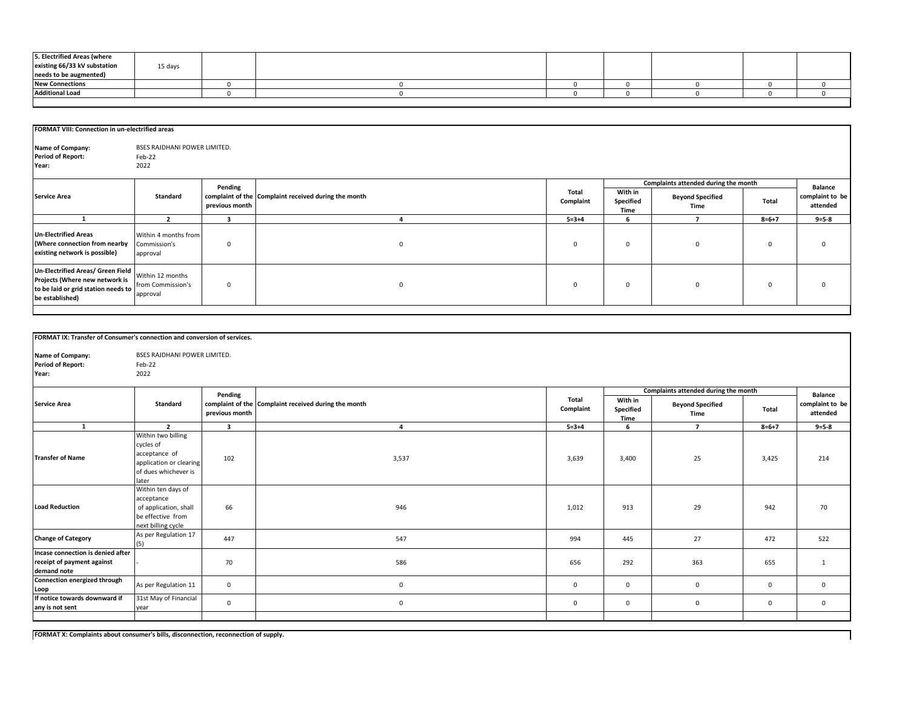| 5. Electrified Areas (where<br>existing 66/33 kV substation |         |  |  |  |  |
|-------------------------------------------------------------|---------|--|--|--|--|
| needs to be augmented)                                      | 15 days |  |  |  |  |
| <b>New Connections</b>                                      |         |  |  |  |  |
| <b>Additional Load</b>                                      |         |  |  |  |  |

|                                                                                                                               | FORMAT VIII: Connection in un-electrified areas       |                |                                                      |                    |                              |                                      |             |                             |  |  |  |
|-------------------------------------------------------------------------------------------------------------------------------|-------------------------------------------------------|----------------|------------------------------------------------------|--------------------|------------------------------|--------------------------------------|-------------|-----------------------------|--|--|--|
| Name of Company:<br><b>Period of Report:</b><br>Year:                                                                         | <b>BSES RAJDHANI POWER LIMITED.</b><br>Feb-22<br>2022 |                |                                                      |                    |                              |                                      |             |                             |  |  |  |
|                                                                                                                               |                                                       | Pending        |                                                      |                    |                              | Complaints attended during the month |             | <b>Balance</b>              |  |  |  |
| <b>Service Area</b>                                                                                                           | Standard                                              | previous month | complaint of the Complaint received during the month | Total<br>Complaint | With in<br>Specified<br>Time | <b>Beyond Specified</b><br>Time      | Total       | complaint to be<br>attended |  |  |  |
|                                                                                                                               |                                                       |                |                                                      | $5 = 3 + 4$        | ĥ                            |                                      | $8 = 6 + 7$ | $9 = 5 - 8$                 |  |  |  |
| <b>Un-Electrified Areas</b><br>(Where connection from nearby<br>existing network is possible)                                 | Within 4 months from<br>Commission's<br>approval      | $\Omega$       | $\mathbf{0}$                                         | $\Omega$           | $\mathbf{0}$                 | $\mathbf 0$                          | $\Omega$    | 0                           |  |  |  |
| Un-Electrified Areas/ Green Field<br>Projects (Where new network is<br>to be laid or grid station needs to<br>be established) | Within 12 months<br>from Commission's<br>approval     | $\mathbf 0$    | $\mathbf{0}$                                         | $\mathbf 0$        | $\mathbf{0}$                 | $^{\circ}$                           | $\Omega$    | 0                           |  |  |  |

| FORMAT IX: Transfer of Consumer's connection and conversion of services.       |                                                                                                                                                                                                |                         |                                                      |                    |                              |                                      |              |                             |
|--------------------------------------------------------------------------------|------------------------------------------------------------------------------------------------------------------------------------------------------------------------------------------------|-------------------------|------------------------------------------------------|--------------------|------------------------------|--------------------------------------|--------------|-----------------------------|
| Name of Company:<br><b>Period of Report:</b><br>Year:                          | <b>BSES RAJDHANI POWER LIMITED.</b><br>Feb-22<br>2022                                                                                                                                          |                         |                                                      |                    |                              |                                      |              |                             |
|                                                                                |                                                                                                                                                                                                | Pending                 |                                                      |                    |                              | Complaints attended during the month |              | <b>Balance</b>              |
| <b>Service Area</b>                                                            | Standard                                                                                                                                                                                       | previous month          | complaint of the Complaint received during the month | Total<br>Complaint | With in<br>Specified<br>Time | <b>Beyond Specified</b><br>Time      | Total        | complaint to be<br>attended |
| 1                                                                              | $\overline{2}$                                                                                                                                                                                 | $\overline{\mathbf{3}}$ | 4                                                    | $5 = 3 + 4$        | 6                            | $\overline{7}$                       | $8 = 6 + 7$  | $9 = 5 - 8$                 |
| <b>Transfer of Name</b><br><b>Load Reduction</b>                               | Within two billing<br>cycles of<br>acceptance of<br>application or clearing<br>of dues whichever is<br>later<br>Within ten days of<br>acceptance<br>of application, shall<br>be effective from | 102<br>66               | 3,537<br>946                                         | 3,639<br>1,012     | 3,400<br>913                 | 25<br>29                             | 3,425<br>942 | 214<br>70                   |
|                                                                                | next billing cycle                                                                                                                                                                             |                         |                                                      |                    |                              |                                      |              |                             |
| <b>Change of Category</b>                                                      | As per Regulation 17<br>(5)                                                                                                                                                                    | 447                     | 547                                                  | 994                | 445                          | 27                                   | 472          | 522                         |
| Incase connection is denied after<br>receipt of payment against<br>demand note |                                                                                                                                                                                                | 70                      | 586                                                  | 656                | 292                          | 363                                  | 655          | $\mathbf{1}$                |
| Connection energized through<br>Loop                                           | As per Regulation 11                                                                                                                                                                           | $\mathbf{0}$            | $\mathbf{0}$                                         | $\mathbf{0}$       | $\mathbf{0}$                 | $\mathbf{0}$                         | $\mathbf{0}$ | $\mathbf{0}$                |
| If notice towards downward if<br>any is not sent                               | 31st May of Financial<br>year                                                                                                                                                                  | $\mathbf 0$             | $\mathbf 0$                                          | $\mathbf{0}$       | $\mathbf 0$                  | $\mathbf{0}$                         | $\mathbf{0}$ | $\mathbf 0$                 |
|                                                                                |                                                                                                                                                                                                |                         |                                                      |                    |                              |                                      |              |                             |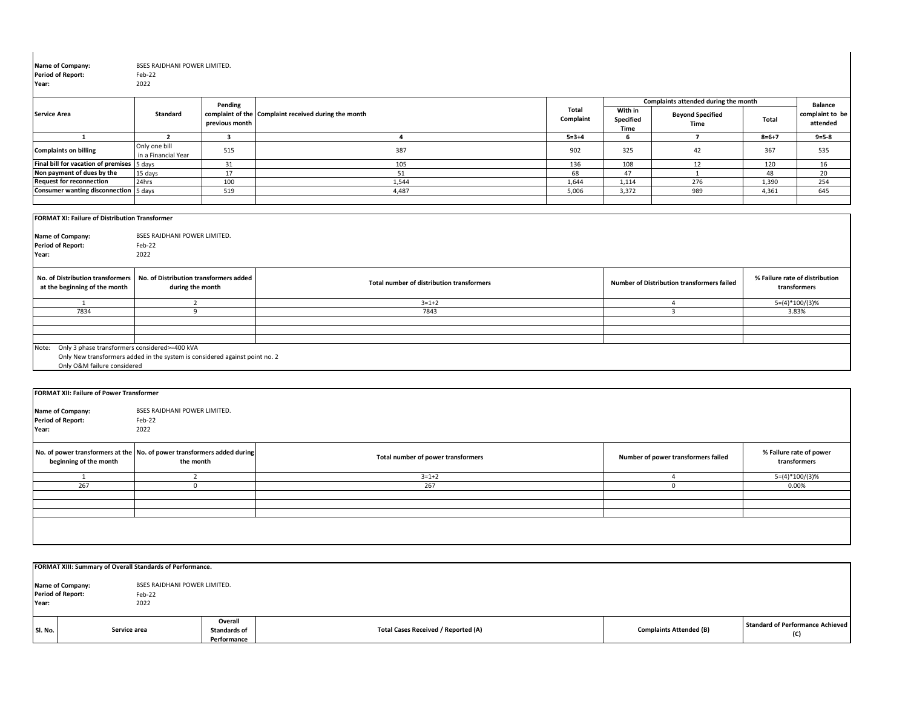| Name of Company:<br><b>Period of Report:</b><br>Year:                                                                                                                | BSES RAJDHANI POWER LIMITED.<br>Feb-22<br>2022             |                           |                                                      |                    |                              |                                                                         |             |                                                |
|----------------------------------------------------------------------------------------------------------------------------------------------------------------------|------------------------------------------------------------|---------------------------|------------------------------------------------------|--------------------|------------------------------|-------------------------------------------------------------------------|-------------|------------------------------------------------|
| <b>Service Area</b>                                                                                                                                                  | <b>Standard</b>                                            | Pending<br>previous month | complaint of the Complaint received during the month | Total<br>Complaint | With in<br>Specified<br>Time | Complaints attended during the month<br><b>Beyond Specified</b><br>Time | Total       | <b>Balance</b><br>complaint to be<br>attended  |
| <sup>1</sup>                                                                                                                                                         | $\overline{2}$                                             | $\overline{\mathbf{3}}$   | $\overline{a}$                                       | $5 = 3 + 4$        | 6                            | $\overline{7}$                                                          | $8 = 6 + 7$ | $9 = 5 - 8$                                    |
| <b>Complaints on billing</b>                                                                                                                                         | Only one bill<br>in a Financial Year                       | 515                       | 387                                                  | 902                | 325                          | 42                                                                      | 367         | 535                                            |
| Final bill for vacation of premises 5 days                                                                                                                           |                                                            | 31                        | 105                                                  | 136                | 108                          | 12                                                                      | 120         | 16                                             |
| Non payment of dues by the                                                                                                                                           | 15 days                                                    | 17                        | 51                                                   | 68                 | 47                           | 1                                                                       | 48          | 20                                             |
| <b>Request for reconnection</b>                                                                                                                                      | 24hrs                                                      | 100                       | 1,544                                                | 1.644              | 1,114                        | 276                                                                     | 1,390       | 254                                            |
| <b>Consumer wanting disconnection</b>                                                                                                                                | 5 days                                                     | 519                       | 4,487                                                | 5,006              | 3,372                        | 989                                                                     | 4,361       | 645                                            |
|                                                                                                                                                                      |                                                            |                           |                                                      |                    |                              |                                                                         |             |                                                |
| Name of Company:<br><b>Period of Report:</b><br>Year:                                                                                                                | <b>BSES RAJDHANI POWER LIMITED.</b><br>Feb-22<br>2022      |                           |                                                      |                    |                              |                                                                         |             |                                                |
| No. of Distribution transformers<br>at the beginning of the month                                                                                                    | No. of Distribution transformers added<br>during the month |                           | Total number of distribution transformers            |                    |                              | <b>Number of Distribution transformers failed</b>                       |             | % Failure rate of distribution<br>transformers |
| 1                                                                                                                                                                    | $\overline{2}$                                             |                           | $3 = 1 + 2$                                          |                    |                              | $\overline{4}$                                                          |             | $5=(4)*100/(3)%$                               |
| 7834                                                                                                                                                                 | 9                                                          |                           | 7843                                                 |                    |                              | $\overline{\mathbf{3}}$                                                 |             | 3.83%                                          |
|                                                                                                                                                                      |                                                            |                           |                                                      |                    |                              |                                                                         |             |                                                |
|                                                                                                                                                                      |                                                            |                           |                                                      |                    |                              |                                                                         |             |                                                |
| Only 3 phase transformers considered>=400 kVA<br>Note:<br>Only New transformers added in the system is considered against point no. 2<br>Only O&M failure considered |                                                            |                           |                                                      |                    |                              |                                                                         |             |                                                |
|                                                                                                                                                                      |                                                            |                           |                                                      |                    |                              |                                                                         |             |                                                |
| <b>FORMAT XII: Failure of Power Transformer</b>                                                                                                                      |                                                            |                           |                                                      |                    |                              |                                                                         |             |                                                |
| Name of Company:<br><b>Period of Report:</b><br>Year:                                                                                                                | <b>BSES RAJDHANI POWER LIMITED.</b><br>Feb-22<br>2022      |                           |                                                      |                    |                              |                                                                         |             |                                                |
| No. of power transformers at the No. of power transformers added during<br>beginning of the month                                                                    | the month                                                  |                           | Total number of power transformers                   |                    |                              | Number of power transformers failed                                     |             | % Failure rate of power<br>transformers        |

| <b>FORMAT XII: Failure of Power Transformer</b><br>Name of Company:<br><b>Period of Report:</b><br>Year: | BSES RAJDHANI POWER LIMITED.<br>Feb-22<br>2022                                       |                                    |                                     |                                         |
|----------------------------------------------------------------------------------------------------------|--------------------------------------------------------------------------------------|------------------------------------|-------------------------------------|-----------------------------------------|
| beginning of the month                                                                                   | No. of power transformers at the No. of power transformers added during<br>the month | Total number of power transformers | Number of power transformers failed | % Failure rate of power<br>transformers |
|                                                                                                          |                                                                                      | $3 = 1 + 2$                        |                                     | 5=(4)*100/(3)%                          |
| 267                                                                                                      |                                                                                      | 267                                |                                     | 0.00%                                   |
|                                                                                                          |                                                                                      |                                    |                                     |                                         |
|                                                                                                          |                                                                                      |                                    |                                     |                                         |
|                                                                                                          |                                                                                      |                                    |                                     |                                         |

|         | FORMAT XIII: Summary of Overall Standards of Performance.      |                                               |                                     |                                |                                                |  |  |  |  |  |  |  |
|---------|----------------------------------------------------------------|-----------------------------------------------|-------------------------------------|--------------------------------|------------------------------------------------|--|--|--|--|--|--|--|
| Year:   | Name of Company:<br><b>Period of Report:</b><br>Feb-22<br>2022 | <b>BSES RAJDHANI POWER LIMITED.</b>           |                                     |                                |                                                |  |  |  |  |  |  |  |
| SI. No. | Service area                                                   | Overall<br><b>Standards of</b><br>Performance | Total Cases Received / Reported (A) | <b>Complaints Attended (B)</b> | <b>Standard of Performance Achieved</b><br>(C) |  |  |  |  |  |  |  |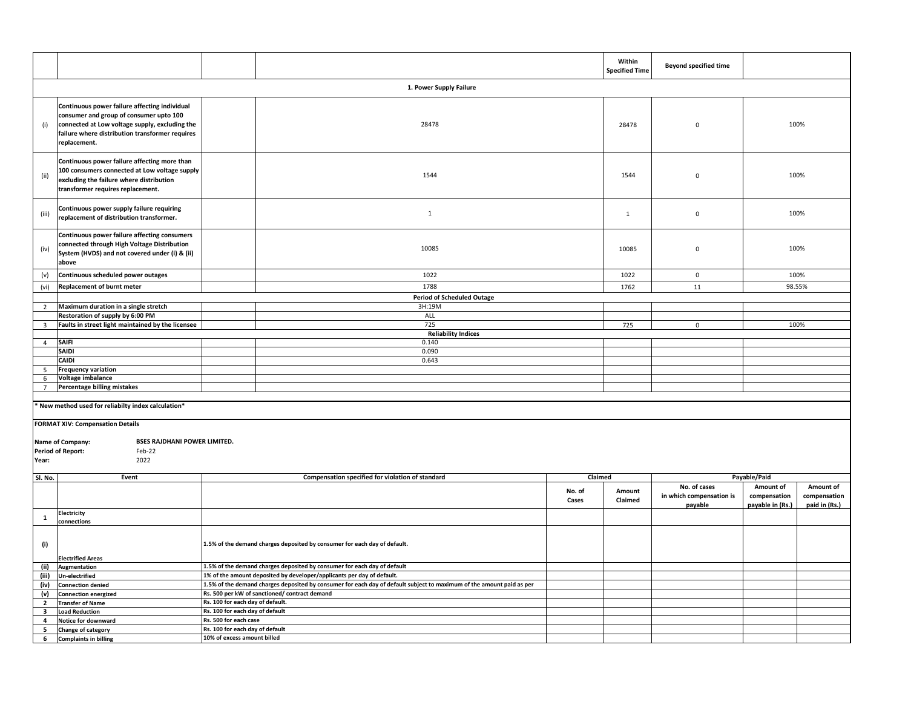|                                                                                                                                                           |                                                                                                                                                                                                               |                                                                                                                       |                                                                          |                 | Within<br><b>Specified Time</b> | <b>Beyond specified time</b>        |                                  |                                        |  |
|-----------------------------------------------------------------------------------------------------------------------------------------------------------|---------------------------------------------------------------------------------------------------------------------------------------------------------------------------------------------------------------|-----------------------------------------------------------------------------------------------------------------------|--------------------------------------------------------------------------|-----------------|---------------------------------|-------------------------------------|----------------------------------|----------------------------------------|--|
|                                                                                                                                                           | 1. Power Supply Failure                                                                                                                                                                                       |                                                                                                                       |                                                                          |                 |                                 |                                     |                                  |                                        |  |
| (i)                                                                                                                                                       | Continuous power failure affecting individual<br>consumer and group of consumer upto 100<br>connected at Low voltage supply, excluding the<br>failure where distribution transformer requires<br>replacement. |                                                                                                                       | 28478                                                                    |                 | 28478                           | $\mathbf 0$                         |                                  | 100%                                   |  |
| (ii)                                                                                                                                                      | Continuous power failure affecting more than<br>100 consumers connected at Low voltage supply<br>excluding the failure where distribution<br>transformer requires replacement.                                |                                                                                                                       | 1544                                                                     |                 | 1544                            | $\mathbf 0$                         |                                  | 100%                                   |  |
| (iii)                                                                                                                                                     | Continuous power supply failure requiring<br>replacement of distribution transformer.                                                                                                                         |                                                                                                                       | $\mathbf{1}$                                                             |                 | $\mathbf{1}$                    | $\mathsf 0$                         |                                  | 100%                                   |  |
| (iv)                                                                                                                                                      | Continuous power failure affecting consumers<br>connected through High Voltage Distribution<br>10085<br>System (HVDS) and not covered under (i) & (ii)<br>above                                               |                                                                                                                       |                                                                          | 10085           | $\mathbf 0$                     | 100%                                |                                  |                                        |  |
| (v)                                                                                                                                                       | Continuous scheduled power outages                                                                                                                                                                            |                                                                                                                       | 1022                                                                     |                 | 1022                            | $\mathbf 0$                         | 100%                             |                                        |  |
| (vi)                                                                                                                                                      | Replacement of burnt meter                                                                                                                                                                                    |                                                                                                                       | 1788                                                                     |                 | 1762                            | 11                                  |                                  | 98.55%                                 |  |
|                                                                                                                                                           |                                                                                                                                                                                                               |                                                                                                                       | <b>Period of Scheduled Outage</b>                                        |                 |                                 |                                     |                                  |                                        |  |
| $\overline{2}$                                                                                                                                            | Maximum duration in a single stretch                                                                                                                                                                          |                                                                                                                       | 3H:19M                                                                   |                 |                                 |                                     |                                  |                                        |  |
| $\overline{\mathbf{3}}$                                                                                                                                   | Restoration of supply by 6:00 PM<br>Faults in street light maintained by the licensee                                                                                                                         |                                                                                                                       | ALL<br>725                                                               |                 | 725                             | $\mathbf 0$                         |                                  | 100%                                   |  |
|                                                                                                                                                           |                                                                                                                                                                                                               |                                                                                                                       | <b>Reliability Indices</b>                                               |                 |                                 |                                     |                                  |                                        |  |
| $\overline{4}$                                                                                                                                            | <b>SAIFI</b>                                                                                                                                                                                                  |                                                                                                                       | 0.140                                                                    |                 |                                 |                                     |                                  |                                        |  |
|                                                                                                                                                           | SAIDI                                                                                                                                                                                                         |                                                                                                                       | 0.090                                                                    |                 |                                 |                                     |                                  |                                        |  |
|                                                                                                                                                           | CAIDI                                                                                                                                                                                                         |                                                                                                                       | 0.643                                                                    |                 |                                 |                                     |                                  |                                        |  |
| 5                                                                                                                                                         | <b>Frequency variation</b>                                                                                                                                                                                    |                                                                                                                       |                                                                          |                 |                                 |                                     |                                  |                                        |  |
| 6                                                                                                                                                         | Voltage imbalance                                                                                                                                                                                             |                                                                                                                       |                                                                          |                 |                                 |                                     |                                  |                                        |  |
| $\overline{7}$                                                                                                                                            | Percentage billing mistakes                                                                                                                                                                                   |                                                                                                                       |                                                                          |                 |                                 |                                     |                                  |                                        |  |
| * New method used for reliabilty index calculation*                                                                                                       |                                                                                                                                                                                                               |                                                                                                                       |                                                                          |                 |                                 |                                     |                                  |                                        |  |
| <b>FORMAT XIV: Compensation Details</b><br><b>BSES RAJDHANI POWER LIMITED.</b><br>Name of Company:<br><b>Period of Report:</b><br>Feb-22<br>2022<br>Year: |                                                                                                                                                                                                               |                                                                                                                       |                                                                          |                 |                                 |                                     |                                  |                                        |  |
| Sl. No.                                                                                                                                                   |                                                                                                                                                                                                               | Event<br>Compensation specified for violation of standard                                                             |                                                                          | Claimed         |                                 | No. of cases                        |                                  | Payable/Paid<br>Amount of<br>Amount of |  |
|                                                                                                                                                           |                                                                                                                                                                                                               |                                                                                                                       |                                                                          | No. of<br>Cases | Amount<br>Claimed               | in which compensation is<br>payable | compensation<br>payable in (Rs.) | compensation<br>paid in (Rs.)          |  |
| $\mathbf{1}$                                                                                                                                              | Electricity<br>connections                                                                                                                                                                                    |                                                                                                                       |                                                                          |                 |                                 |                                     |                                  |                                        |  |
| (i)                                                                                                                                                       | <b>Electrified Areas</b>                                                                                                                                                                                      | 1.5% of the demand charges deposited by consumer for each day of default.                                             |                                                                          |                 |                                 |                                     |                                  |                                        |  |
| (ii)                                                                                                                                                      | Augmentation                                                                                                                                                                                                  |                                                                                                                       | 1.5% of the demand charges deposited by consumer for each day of default |                 |                                 |                                     |                                  |                                        |  |
| (iii)                                                                                                                                                     | Un-electrified                                                                                                                                                                                                |                                                                                                                       | 1% of the amount deposited by developer/applicants per day of default.   |                 |                                 |                                     |                                  |                                        |  |
| (iv)                                                                                                                                                      | <b>Connection denied</b>                                                                                                                                                                                      | 1.5% of the demand charges deposited by consumer for each day of default subject to maximum of the amount paid as per |                                                                          |                 |                                 |                                     |                                  |                                        |  |
| (v)                                                                                                                                                       | <b>Connection energized</b>                                                                                                                                                                                   |                                                                                                                       | Rs. 500 per kW of sanctioned/ contract demand                            |                 |                                 |                                     |                                  |                                        |  |
| $\overline{2}$                                                                                                                                            | <b>Transfer of Name</b>                                                                                                                                                                                       | Rs. 100 for each day of default.                                                                                      |                                                                          |                 |                                 |                                     |                                  |                                        |  |
| $\overline{\mathbf{3}}$                                                                                                                                   | <b>Load Reduction</b>                                                                                                                                                                                         | Rs. 100 for each day of default                                                                                       |                                                                          |                 |                                 |                                     |                                  |                                        |  |
| $\overline{4}$<br>5                                                                                                                                       | Notice for downward<br>Change of category                                                                                                                                                                     | Rs. 500 for each case<br>Rs. 100 for each day of default                                                              |                                                                          |                 |                                 |                                     |                                  |                                        |  |
| 6                                                                                                                                                         | <b>Complaints in billing</b>                                                                                                                                                                                  | 10% of excess amount billed                                                                                           |                                                                          |                 |                                 |                                     |                                  |                                        |  |
|                                                                                                                                                           |                                                                                                                                                                                                               |                                                                                                                       |                                                                          |                 |                                 |                                     |                                  |                                        |  |